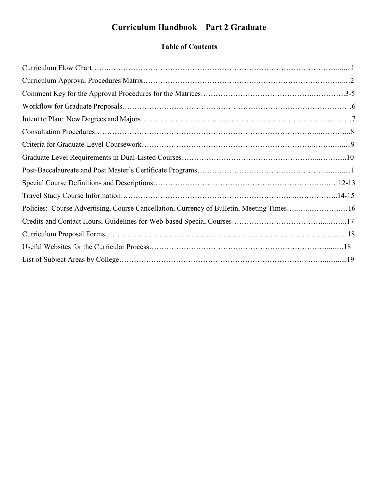# **Curriculum Handbook – Part 2 Graduate**

# **Table of Contents**

| Policies: Course Advertising, Course Cancellation, Currency of Bulletin, Meeting Times16 |  |
|------------------------------------------------------------------------------------------|--|
|                                                                                          |  |
|                                                                                          |  |
|                                                                                          |  |
|                                                                                          |  |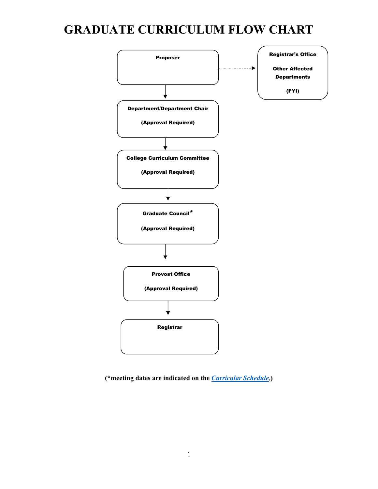# **GRADUATE CURRICULUM FLOW CHART**



**(\*meeting dates are indicated on the** *[Curricular Schedule](https://www.uww.edu/acadaff/facstaff/curricular-and-advising-calendar)***.)**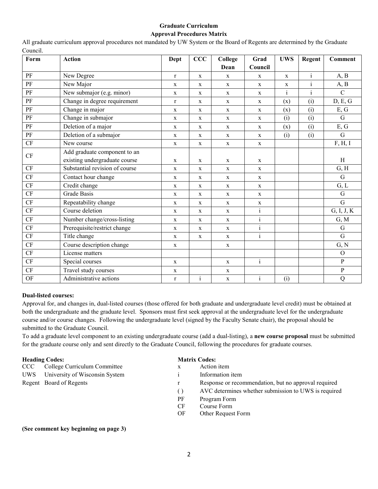#### **Graduate Curriculum Approval Procedures Matrix**

**Form Action Dept CCC College Dean Grad Council UWS Regent Comment** PF New Degree r  $\vert$  r  $\vert$  x  $\vert$  x  $\vert$  x  $\vert$  x  $\vert$  i  $\vert$  A, B PF New Major x x x x x x x i A, B PF New submajor (e.g. minor)  $x \mid x \mid x \mid x \mid x \mid x$  i c PF Change in degree requirement  $r \mid x \mid x \mid x \mid (x) \mid (i) \mid D, E, G$ PF Change in major  $x \mid x \mid x \mid x \mid (x) \mid (i) \mid E$ , G PF Change in submajor  $x \mid x \mid x \mid x \mid (i) \mid (i) \mid G$ PF Deletion of a major  $x \mid x \mid x \mid x \mid (x) \mid (i) \mid E$ , G PF Deletion of a submajor  $x \mid x \mid x \mid x \mid (i) \mid (i) \mid G$ CF New course  $x \mid x \mid x \mid x \mid x \mid x \mid$  F, H, I CF Add graduate component to an existing undergraduate course  $x \mid x \mid x \mid x \mid x \mid x \mid$  H CF Substantial revision of course  $x \mid x \mid x \mid x \mid x \mid$  x  $\mid$   $\mid$  G, H  $CF$  Contact hour change  $x \mid x \mid x \mid x$  x G  $CF$  Credit change  $X \mid x \mid x \mid x \mid x \mid$  (G, L CF Grade Basis x x x x G  $CF$  Repeatability change  $x \mid x \mid x \mid x \mid x \mid$  $CF$  Course deletion  $x \mid x \mid x \mid x$  i G, I, J, K CF Number change/cross-listing  $x \mid x \mid x \mid x$  i G, M  $CF$  Prerequisite/restrict change  $X$   $X$   $X$   $X$  i i CF Title change x x x i G CF Course description change  $x \mid x \mid x \mid x \mid y \mid y$  (G, N CF License matters and the control of the control of the control of the control of the control of the control of the control of the control of the control of the control of the control of the control of the control of the  $CF$  Special courses  $x \mid x \mid x \mid x \mid i \mid y$  $CF$  Travel study courses  $x \mid x \mid x \mid x \mid x \mid y \mid y \mid y \mid y$ OF Administrative actions r i x i (i) Q

All graduate curriculum approval procedures not mandated by UW System or the Board of Regents are determined by the Graduate Council.

#### **Dual-listed courses:**

Approval for, and changes in, dual-listed courses (those offered for both graduate and undergraduate level credit) must be obtained at both the undergraduate and the graduate level. Sponsors must first seek approval at the undergraduate level for the undergraduate course and/or course changes. Following the undergraduate level (signed by the Faculty Senate chair), the proposal should be submitted to the Graduate Council.

To add a graduate level component to an existing undergraduate course (add a dual-listing), a **new course proposal** must be submitted for the graduate course only and sent directly to the Graduate Council, following the procedures for graduate courses.

| <b>Heading Codes:</b> |                                |                  | <b>Matrix Codes:</b>                                 |  |  |
|-----------------------|--------------------------------|------------------|------------------------------------------------------|--|--|
| CCC <sub>1</sub>      | College Curriculum Committee   | X                | Action item                                          |  |  |
| UWS.                  | University of Wisconsin System |                  | Information item                                     |  |  |
|                       | Regent Board of Regents        |                  | Response or recommendation, but no approval required |  |  |
|                       |                                | $\left( \right)$ | AVC determines whether submission to UWS is required |  |  |
|                       |                                | PF               | Program Form                                         |  |  |
|                       |                                | CF               | Course Form                                          |  |  |
|                       |                                | OF               | Other Request Form                                   |  |  |

**(See comment key beginning on page 3)**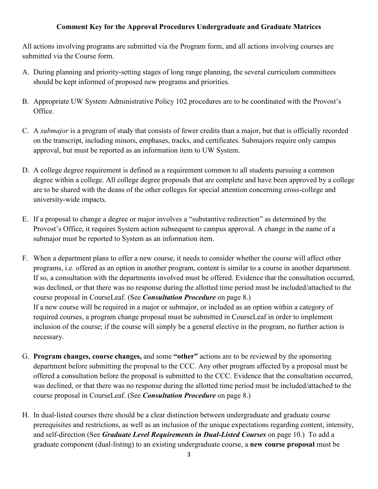#### **Comment Key for the Approval Procedures Undergraduate and Graduate Matrices**

All actions involving programs are submitted via the Program form, and all actions involving courses are submitted via the Course form.

- A. During planning and priority-setting stages of long range planning, the several curriculum committees should be kept informed of proposed new programs and priorities.
- B. Appropriate UW System Administrative Policy 102 procedures are to be coordinated with the Provost's Office.
- C. A *submajor* is a program of study that consists of fewer credits than a major, but that is officially recorded on the transcript, including minors, emphases, tracks, and certificates. Submajors require only campus approval, but must be reported as an information item to UW System.
- D. A college degree requirement is defined as a requirement common to all students pursuing a common degree within a college. All college degree proposals that are complete and have been approved by a college are to be shared with the deans of the other colleges for special attention concerning cross-college and university-wide impacts.
- E. If a proposal to change a degree or major involves a "substantive redirection" as determined by the Provost's Office, it requires System action subsequent to campus approval. A change in the name of a submajor must be reported to System as an information item.
- F. When a department plans to offer a new course, it needs to consider whether the course will affect other programs, i.e. offered as an option in another program, content is similar to a course in another department. If so, a consultation with the departments involved must be offered. Evidence that the consultation occurred, was declined, or that there was no response during the allotted time period must be included/attached to the course proposal in CourseLeaf. (See *Consultation Procedure* on page 8.) If a new course will be required in a major or submajor, or included as an option within a category of required courses, a program change proposal must be submitted in CourseLeaf in order to implement inclusion of the course; if the course will simply be a general elective in the program, no further action is necessary.
- G. **Program changes, course changes,** and some **"other"** actions are to be reviewed by the sponsoring department before submitting the proposal to the CCC. Any other program affected by a proposal must be offered a consultation before the proposal is submitted to the CCC. Evidence that the consultation occurred, was declined, or that there was no response during the allotted time period must be included/attached to the course proposal in CourseLeaf. (See *Consultation Procedure* on page 8.)
- H. In dual-listed courses there should be a clear distinction between undergraduate and graduate course prerequisites and restrictions, as well as an inclusion of the unique expectations regarding content, intensity, and self-direction (See *Graduate Level Requirements in Dual-Listed Courses* on page 10.) To add a graduate component (dual-listing) to an existing undergraduate course, a **new course proposal** must be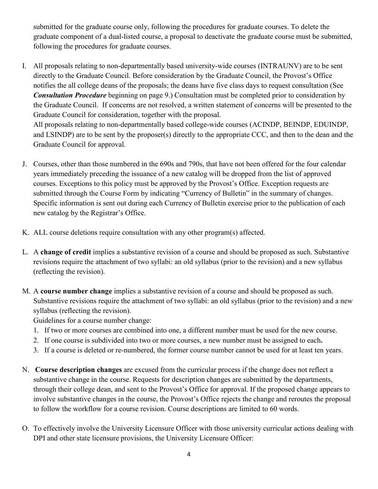submitted for the graduate course only, following the procedures for graduate courses. To delete the graduate component of a dual-listed course, a proposal to deactivate the graduate course must be submitted, following the procedures for graduate courses.

I. All proposals relating to non-departmentally based university-wide courses (INTRAUNV) are to be sent directly to the Graduate Council. Before consideration by the Graduate Council, the Provost's Office notifies the all college deans of the proposals; the deans have five class days to request consultation (See *Consultation Procedure* beginning on page 9.) Consultation must be completed prior to consideration by the Graduate Council. If concerns are not resolved, a written statement of concerns will be presented to the Graduate Council for consideration, together with the proposal. All proposals relating to non-departmentally based college-wide courses (ACINDP, BEINDP, EDUINDP, and LSINDP) are to be sent by the proposer(s) directly to the appropriate CCC, and then to the dean and the

Graduate Council for approval.

- J. Courses, other than those numbered in the 690s and 790s, that have not been offered for the four calendar years immediately preceding the issuance of a new catalog will be dropped from the list of approved courses. Exceptions to this policy must be approved by the Provost's Office. Exception requests are submitted through the Course Form by indicating "Currency of Bulletin" in the summary of changes. Specific information is sent out during each Currency of Bulletin exercise prior to the publication of each new catalog by the Registrar's Office.
- K. ALL course deletions require consultation with any other program(s) affected.
- L. A **change of credit** implies a substantive revision of a course and should be proposed as such. Substantive revisions require the attachment of two syllabi: an old syllabus (prior to the revision) and a new syllabus (reflecting the revision).
- M. A **course number change** implies a substantive revision of a course and should be proposed as such. Substantive revisions require the attachment of two syllabi: an old syllabus (prior to the revision) and a new syllabus (reflecting the revision).

Guidelines for a course number change:

- 1. If two or more courses are combined into one, a different number must be used for the new course.
- 2. If one course is subdivided into two or more courses, a new number must be assigned to each**.**
- 3. If a course is deleted or re-numbered, the former course number cannot be used for at least ten years.
- N. **Course description changes** are excused from the curricular process if the change does not reflect a substantive change in the course. Requests for description changes are submitted by the departments, through their college dean, and sent to the Provost's Office for approval. If the proposed change appears to involve substantive changes in the course, the Provost's Office rejects the change and reroutes the proposal to follow the workflow for a course revision. Course descriptions are limited to 60 words.
- O. To effectively involve the University Licensure Officer with those university curricular actions dealing with DPI and other state licensure provisions, the University Licensure Officer: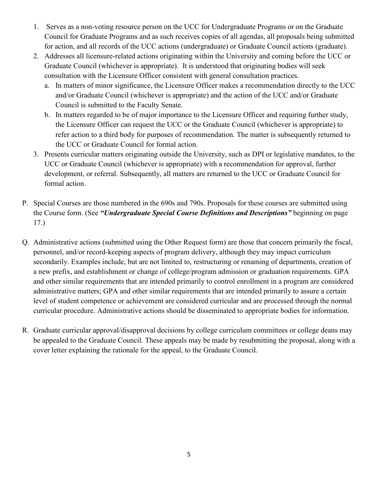- 1. Serves as a non-voting resource person on the UCC for Undergraduate Programs or on the Graduate Council for Graduate Programs and as such receives copies of all agendas, all proposals being submitted for action, and all records of the UCC actions (undergraduate) or Graduate Council actions (graduate).
- 2. Addresses all licensure-related actions originating within the University and coming before the UCC or Graduate Council (whichever is appropriate). It is understood that originating bodies will seek consultation with the Licensure Officer consistent with general consultation practices.
	- a. In matters of minor significance, the Licensure Officer makes a recommendation directly to the UCC and/or Graduate Council (whichever is appropriate) and the action of the UCC and/or Graduate Council is submitted to the Faculty Senate.
	- b. In matters regarded to be of major importance to the Licensure Officer and requiring further study, the Licensure Officer can request the UCC or the Graduate Council (whichever is appropriate) to refer action to a third body for purposes of recommendation. The matter is subsequently returned to the UCC or Graduate Council for formal action.
- 3. Presents curricular matters originating outside the University, such as DPI or legislative mandates, to the UCC or Graduate Council (whichever is appropriate) with a recommendation for approval, further development, or referral. Subsequently, all matters are returned to the UCC or Graduate Council for formal action.
- P. Special Courses are those numbered in the 690s and 790s. Proposals for these courses are submitted using the Course form. (See *"Undergraduate Special Course Definitions and Descriptions"* beginning on page 17.)
- Q. Administrative actions (submitted using the Other Request form) are those that concern primarily the fiscal, personnel, and/or record-keeping aspects of program delivery, although they may impact curriculum secondarily. Examples include, but are not limited to, restructuring or renaming of departments, creation of a new prefix, and establishment or change of college/program admission or graduation requirements. GPA and other similar requirements that are intended primarily to control enrollment in a program are considered administrative matters; GPA and other similar requirements that are intended primarily to assure a certain level of student competence or achievement are considered curricular and are processed through the normal curricular procedure. Administrative actions should be disseminated to appropriate bodies for information.
- R. Graduate curricular approval/disapproval decisions by college curriculum committees or college deans may be appealed to the Graduate Council. These appeals may be made by resubmitting the proposal, along with a cover letter explaining the rationale for the appeal, to the Graduate Council.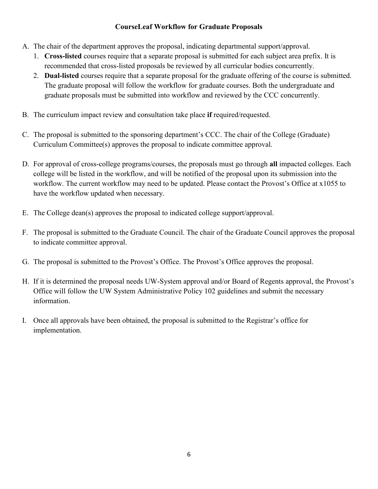#### **CourseLeaf Workflow for Graduate Proposals**

- A. The chair of the department approves the proposal, indicating departmental support/approval.
	- 1. **Cross-listed** courses require that a separate proposal is submitted for each subject area prefix. It is recommended that cross-listed proposals be reviewed by all curricular bodies concurrently.
	- 2. **Dual-listed** courses require that a separate proposal for the graduate offering of the course is submitted. The graduate proposal will follow the workflow for graduate courses. Both the undergraduate and graduate proposals must be submitted into workflow and reviewed by the CCC concurrently.
- B. The curriculum impact review and consultation take place **if** required/requested.
- C. The proposal is submitted to the sponsoring department's CCC. The chair of the College (Graduate) Curriculum Committee(s) approves the proposal to indicate committee approval.
- D. For approval of cross-college programs/courses, the proposals must go through **all** impacted colleges. Each college will be listed in the workflow, and will be notified of the proposal upon its submission into the workflow. The current workflow may need to be updated. Please contact the Provost's Office at x1055 to have the workflow updated when necessary.
- E. The College dean(s) approves the proposal to indicated college support/approval.
- F. The proposal is submitted to the Graduate Council. The chair of the Graduate Council approves the proposal to indicate committee approval.
- G. The proposal is submitted to the Provost's Office. The Provost's Office approves the proposal.
- H. If it is determined the proposal needs UW-System approval and/or Board of Regents approval, the Provost's Office will follow the UW System Administrative Policy 102 guidelines and submit the necessary information.
- I. Once all approvals have been obtained, the proposal is submitted to the Registrar's office for implementation.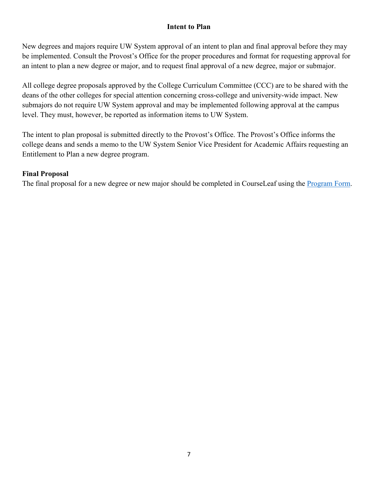#### **Intent to Plan**

New degrees and majors require UW System approval of an intent to plan and final approval before they may be implemented. Consult the Provost's Office for the proper procedures and format for requesting approval for an intent to plan a new degree or major, and to request final approval of a new degree, major or submajor.

All college degree proposals approved by the College Curriculum Committee (CCC) are to be shared with the deans of the other colleges for special attention concerning cross-college and university-wide impact. New submajors do not require UW System approval and may be implemented following approval at the campus level. They must, however, be reported as information items to UW System.

The intent to plan proposal is submitted directly to the Provost's Office. The Provost's Office informs the college deans and sends a memo to the UW System Senior Vice President for Academic Affairs requesting an Entitlement to Plan a new degree program.

#### **Final Proposal**

The final proposal for a new degree or new major should be completed in CourseLeaf using the [Program Form.](https://uww-next.courseleaf.com/programadmin/)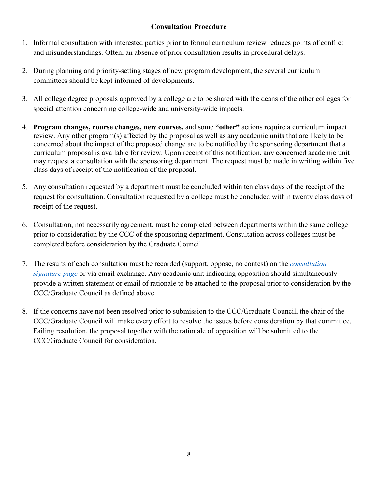### **Consultation Procedure**

- 1. Informal consultation with interested parties prior to formal curriculum review reduces points of conflict and misunderstandings. Often, an absence of prior consultation results in procedural delays.
- 2. During planning and priority-setting stages of new program development, the several curriculum committees should be kept informed of developments.
- 3. All college degree proposals approved by a college are to be shared with the deans of the other colleges for special attention concerning college-wide and university-wide impacts.
- 4. **Program changes, course changes, new courses,** and some **"other"** actions require a curriculum impact review. Any other program(s) affected by the proposal as well as any academic units that are likely to be concerned about the impact of the proposed change are to be notified by the sponsoring department that a curriculum proposal is available for review. Upon receipt of this notification, any concerned academic unit may request a consultation with the sponsoring department. The request must be made in writing within five class days of receipt of the notification of the proposal.
- 5. Any consultation requested by a department must be concluded within ten class days of the receipt of the request for consultation. Consultation requested by a college must be concluded within twenty class days of receipt of the request.
- 6. Consultation, not necessarily agreement, must be completed between departments within the same college prior to consideration by the CCC of the sponsoring department. Consultation across colleges must be completed before consideration by the Graduate Council.
- 7. The results of each consultation must be recorded (support, oppose, no contest) on the *[consultation](http://www.uww.edu/acadaff/facstaff/courseleaf)  signature page* [or via email exchange. A](http://www.uww.edu/acadaff/facstaff/courseleaf)ny academic unit indicating opposition should simultaneously provide a written statement or email of rationale to be attached to the proposal prior to consideration by the CCC/Graduate Council as defined above.
- 8. If the concerns have not been resolved prior to submission to the CCC/Graduate Council, the chair of the CCC/Graduate Council will make every effort to resolve the issues before consideration by that committee. Failing resolution, the proposal together with the rationale of opposition will be submitted to the CCC/Graduate Council for consideration.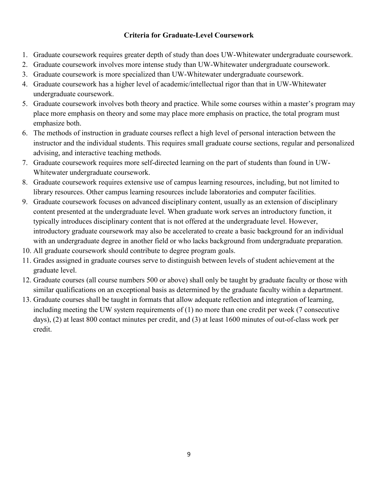#### **Criteria for Graduate-Level Coursework**

- 1. Graduate coursework requires greater depth of study than does UW-Whitewater undergraduate coursework.
- 2. Graduate coursework involves more intense study than UW-Whitewater undergraduate coursework.
- 3. Graduate coursework is more specialized than UW-Whitewater undergraduate coursework.
- 4. Graduate coursework has a higher level of academic/intellectual rigor than that in UW-Whitewater undergraduate coursework.
- 5. Graduate coursework involves both theory and practice. While some courses within a master's program may place more emphasis on theory and some may place more emphasis on practice, the total program must emphasize both.
- 6. The methods of instruction in graduate courses reflect a high level of personal interaction between the instructor and the individual students. This requires small graduate course sections, regular and personalized advising, and interactive teaching methods.
- 7. Graduate coursework requires more self-directed learning on the part of students than found in UW-Whitewater undergraduate coursework.
- 8. Graduate coursework requires extensive use of campus learning resources, including, but not limited to library resources. Other campus learning resources include laboratories and computer facilities.
- 9. Graduate coursework focuses on advanced disciplinary content, usually as an extension of disciplinary content presented at the undergraduate level. When graduate work serves an introductory function, it typically introduces disciplinary content that is not offered at the undergraduate level. However, introductory graduate coursework may also be accelerated to create a basic background for an individual with an undergraduate degree in another field or who lacks background from undergraduate preparation.
- 10. All graduate coursework should contribute to degree program goals.
- 11. Grades assigned in graduate courses serve to distinguish between levels of student achievement at the graduate level.
- 12. Graduate courses (all course numbers 500 or above) shall only be taught by graduate faculty or those with similar qualifications on an exceptional basis as determined by the graduate faculty within a department.
- 13. Graduate courses shall be taught in formats that allow adequate reflection and integration of learning, including meeting the UW system requirements of (1) no more than one credit per week (7 consecutive days), (2) at least 800 contact minutes per credit, and (3) at least 1600 minutes of out-of-class work per credit.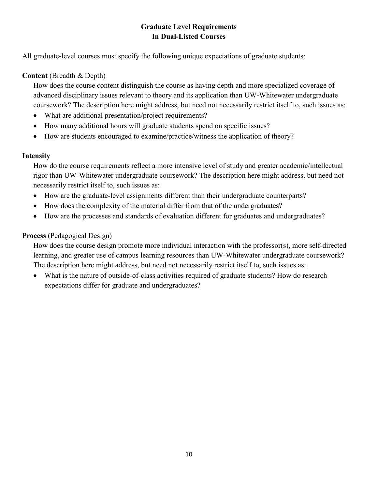### **Graduate Level Requirements In Dual-Listed Courses**

All graduate-level courses must specify the following unique expectations of graduate students:

#### **Content** (Breadth & Depth)

How does the course content distinguish the course as having depth and more specialized coverage of advanced disciplinary issues relevant to theory and its application than UW-Whitewater undergraduate coursework? The description here might address, but need not necessarily restrict itself to, such issues as:

- What are additional presentation/project requirements?
- How many additional hours will graduate students spend on specific issues?
- How are students encouraged to examine/practice/witness the application of theory?

#### **Intensity**

How do the course requirements reflect a more intensive level of study and greater academic/intellectual rigor than UW-Whitewater undergraduate coursework? The description here might address, but need not necessarily restrict itself to, such issues as:

- How are the graduate-level assignments different than their undergraduate counterparts?
- How does the complexity of the material differ from that of the undergraduates?
- How are the processes and standards of evaluation different for graduates and undergraduates?

#### **Process** (Pedagogical Design)

How does the course design promote more individual interaction with the professor(s), more self-directed learning, and greater use of campus learning resources than UW-Whitewater undergraduate coursework? The description here might address, but need not necessarily restrict itself to, such issues as:

• What is the nature of outside-of-class activities required of graduate students? How do research expectations differ for graduate and undergraduates?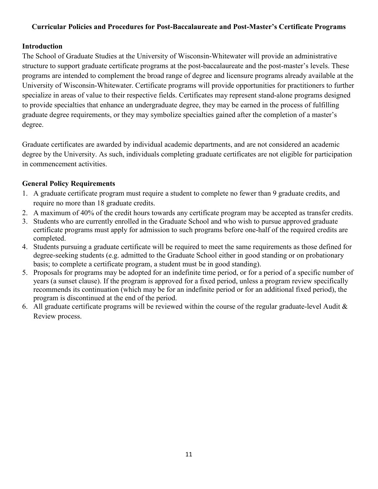#### **Curricular Policies and Procedures for Post-Baccalaureate and Post-Master's Certificate Programs**

#### **Introduction**

The School of Graduate Studies at the University of Wisconsin-Whitewater will provide an administrative structure to support graduate certificate programs at the post-baccalaureate and the post-master's levels. These programs are intended to complement the broad range of degree and licensure programs already available at the University of Wisconsin-Whitewater. Certificate programs will provide opportunities for practitioners to further specialize in areas of value to their respective fields. Certificates may represent stand-alone programs designed to provide specialties that enhance an undergraduate degree, they may be earned in the process of fulfilling graduate degree requirements, or they may symbolize specialties gained after the completion of a master's degree.

Graduate certificates are awarded by individual academic departments, and are not considered an academic degree by the University. As such, individuals completing graduate certificates are not eligible for participation in commencement activities.

#### **General Policy Requirements**

- 1. A graduate certificate program must require a student to complete no fewer than 9 graduate credits, and require no more than 18 graduate credits.
- 2. A maximum of 40% of the credit hours towards any certificate program may be accepted as transfer credits.
- 3. Students who are currently enrolled in the Graduate School and who wish to pursue approved graduate certificate programs must apply for admission to such programs before one-half of the required credits are completed.
- 4. Students pursuing a graduate certificate will be required to meet the same requirements as those defined for degree-seeking students (e.g. admitted to the Graduate School either in good standing or on probationary basis; to complete a certificate program, a student must be in good standing).
- 5. Proposals for programs may be adopted for an indefinite time period, or for a period of a specific number of years (a sunset clause). If the program is approved for a fixed period, unless a program review specifically recommends its continuation (which may be for an indefinite period or for an additional fixed period), the program is discontinued at the end of the period.
- 6. All graduate certificate programs will be reviewed within the course of the regular graduate-level Audit & Review process.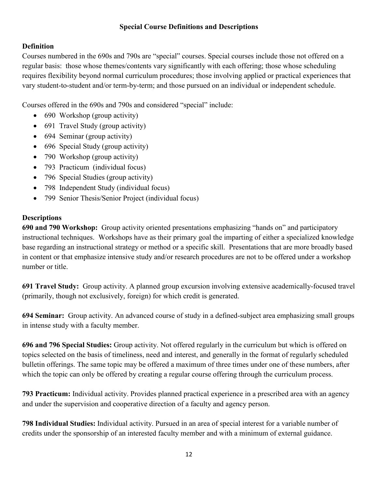#### **Special Course Definitions and Descriptions**

#### **Definition**

Courses numbered in the 690s and 790s are "special" courses. Special courses include those not offered on a regular basis: those whose themes/contents vary significantly with each offering; those whose scheduling requires flexibility beyond normal curriculum procedures; those involving applied or practical experiences that vary student-to-student and/or term-by-term; and those pursued on an individual or independent schedule.

Courses offered in the 690s and 790s and considered "special" include:

- 690 Workshop (group activity)
- 691 Travel Study (group activity)
- 694 Seminar (group activity)
- 696 Special Study (group activity)
- 790 Workshop (group activity)
- 793 Practicum (individual focus)
- 796 Special Studies (group activity)
- 798 Independent Study (individual focus)
- 799 Senior Thesis/Senior Project (individual focus)

#### **Descriptions**

**690 and 790 Workshop:** Group activity oriented presentations emphasizing "hands on" and participatory instructional techniques. Workshops have as their primary goal the imparting of either a specialized knowledge base regarding an instructional strategy or method or a specific skill. Presentations that are more broadly based in content or that emphasize intensive study and/or research procedures are not to be offered under a workshop number or title.

**691 Travel Study:** Group activity. A planned group excursion involving extensive academically-focused travel (primarily, though not exclusively, foreign) for which credit is generated.

**694 Seminar:** Group activity. An advanced course of study in a defined-subject area emphasizing small groups in intense study with a faculty member.

**696 and 796 Special Studies:** Group activity. Not offered regularly in the curriculum but which is offered on topics selected on the basis of timeliness, need and interest, and generally in the format of regularly scheduled bulletin offerings. The same topic may be offered a maximum of three times under one of these numbers, after which the topic can only be offered by creating a regular course offering through the curriculum process.

**793 Practicum:** Individual activity. Provides planned practical experience in a prescribed area with an agency and under the supervision and cooperative direction of a faculty and agency person.

**798 Individual Studies:** Individual activity. Pursued in an area of special interest for a variable number of credits under the sponsorship of an interested faculty member and with a minimum of external guidance.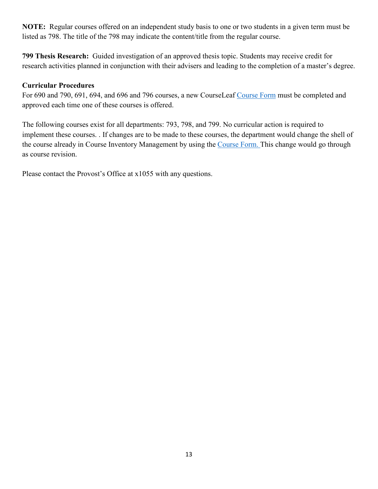**NOTE:** Regular courses offered on an independent study basis to one or two students in a given term must be listed as 798. The title of the 798 may indicate the content/title from the regular course.

**799 Thesis Research:** Guided investigation of an approved thesis topic. Students may receive credit for research activities planned in conjunction with their advisers and leading to the completion of a master's degree.

#### **Curricular Procedures**

For 690 and 790, 691, 694, and 696 and 796 courses, a new CourseLeaf [Course Form](https://uww-next.courseleaf.com/courseadmin/) must be completed and approved each time one of these courses is offered.

The following courses exist for all departments: 793, 798, and 799. No curricular action is required to implement these courses. . If changes are to be made to these courses, the department would change the shell of the course already in Course Inventory Management by using the [Course Form.](https://uww-next.courseleaf.com/courseadmin/) This change would go through as course revision.

Please contact the Provost's Office at x1055 with any questions.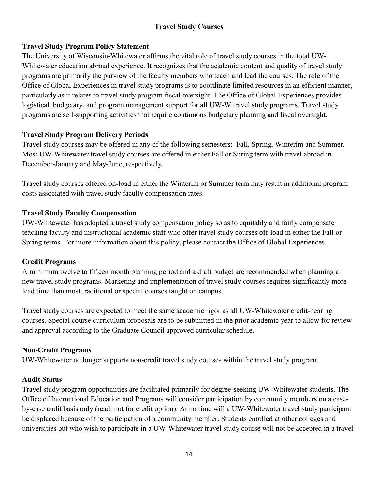## **Travel Study Courses**

#### **Travel Study Program Policy Statement**

The University of Wisconsin-Whitewater affirms the vital role of travel study courses in the total UW-Whitewater education abroad experience. It recognizes that the academic content and quality of travel study programs are primarily the purview of the faculty members who teach and lead the courses. The role of the Office of Global Experiences in travel study programs is to coordinate limited resources in an efficient manner, particularly as it relates to travel study program fiscal oversight. The Office of Global Experiences provides logistical, budgetary, and program management support for all UW-W travel study programs. Travel study programs are self-supporting activities that require continuous budgetary planning and fiscal oversight.

#### **Travel Study Program Delivery Periods**

Travel study courses may be offered in any of the following semesters: Fall, Spring, Winterim and Summer. Most UW-Whitewater travel study courses are offered in either Fall or Spring term with travel abroad in December-January and May-June, respectively.

Travel study courses offered on-load in either the Winterim or Summer term may result in additional program costs associated with travel study faculty compensation rates.

#### **Travel Study Faculty Compensation**

UW-Whitewater has adopted a travel study compensation policy so as to equitably and fairly compensate teaching faculty and instructional academic staff who offer travel study courses off-load in either the Fall or Spring terms. For more information about this policy, please contact the Office of Global Experiences.

#### **Credit Programs**

A minimum twelve to fifteen month planning period and a draft budget are recommended when planning all new travel study programs. Marketing and implementation of travel study courses requires significantly more lead time than most traditional or special courses taught on campus.

Travel study courses are expected to meet the same academic rigor as all UW-Whitewater credit-bearing courses. Special course curriculum proposals are to be submitted in the prior academic year to allow for review and approval according to the Graduate Council approved curricular schedule.

#### **Non-Credit Programs**

UW-Whitewater no longer supports non-credit travel study courses within the travel study program.

#### **Audit Status**

Travel study program opportunities are facilitated primarily for degree-seeking UW-Whitewater students. The Office of International Education and Programs will consider participation by community members on a caseby-case audit basis only (read: not for credit option). At no time will a UW-Whitewater travel study participant be displaced because of the participation of a community member. Students enrolled at other colleges and universities but who wish to participate in a UW-Whitewater travel study course will not be accepted in a travel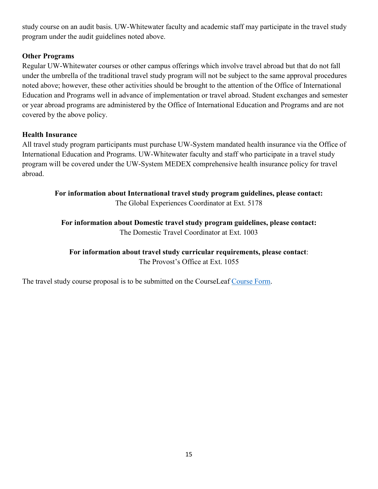study course on an audit basis. UW-Whitewater faculty and academic staff may participate in the travel study program under the audit guidelines noted above.

#### **Other Programs**

Regular UW-Whitewater courses or other campus offerings which involve travel abroad but that do not fall under the umbrella of the traditional travel study program will not be subject to the same approval procedures noted above; however, these other activities should be brought to the attention of the Office of International Education and Programs well in advance of implementation or travel abroad. Student exchanges and semester or year abroad programs are administered by the Office of International Education and Programs and are not covered by the above policy.

#### **Health Insurance**

All travel study program participants must purchase UW-System mandated health insurance via the Office of International Education and Programs. UW-Whitewater faculty and staff who participate in a travel study program will be covered under the UW-System MEDEX comprehensive health insurance policy for travel abroad.

**For information about International travel study program guidelines, please contact:** The Global Experiences Coordinator at Ext. 5178

**For information about Domestic travel study program guidelines, please contact:**  The Domestic Travel Coordinator at Ext. 1003

**For information about travel study curricular requirements, please contact**: The Provost's Office at Ext. 1055

The travel study course proposal is to be submitted on the CourseLeaf [Course Form.](https://uww-next.courseleaf.com/courseadmin/)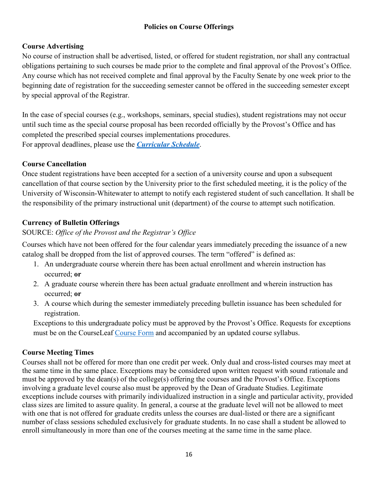#### **Policies on Course Offerings**

#### **Course Advertising**

No course of instruction shall be advertised, listed, or offered for student registration, nor shall any contractual obligations pertaining to such courses be made prior to the complete and final approval of the Provost's Office. Any course which has not received complete and final approval by the Faculty Senate by one week prior to the beginning date of registration for the succeeding semester cannot be offered in the succeeding semester except by special approval of the Registrar.

In the case of special courses (e.g., workshops, seminars, special studies), student registrations may not occur until such time as the special course proposal has been recorded officially by the Provost's Office and has completed the prescribed special courses implementations procedures. For approval deadlines, please use the *[Curricular Schedule](https://www.uww.edu/acadaff/facstaff/curricular-and-advising-calendar)*.

#### **Course Cancellation**

Once student registrations have been accepted for a section of a university course and upon a subsequent cancellation of that course section by the University prior to the first scheduled meeting, it is the policy of the University of Wisconsin-Whitewater to attempt to notify each registered student of such cancellation. It shall be the responsibility of the primary instructional unit (department) of the course to attempt such notification.

#### **Currency of Bulletin Offerings**

#### SOURCE: *Office of the Provost and the Registrar's Office*

Courses which have not been offered for the four calendar years immediately preceding the issuance of a new catalog shall be dropped from the list of approved courses. The term "offered" is defined as:

- 1. An undergraduate course wherein there has been actual enrollment and wherein instruction has occurred; **or**
- 2. A graduate course wherein there has been actual graduate enrollment and wherein instruction has occurred; **or**
- 3. A course which during the semester immediately preceding bulletin issuance has been scheduled for registration.

Exceptions to this undergraduate policy must be approved by the Provost's Office. Requests for exceptions must be on the CourseLeaf [Course Form](https://uww-next.courseleaf.com/courseadmin/) and accompanied by an updated course syllabus.

#### **Course Meeting Times**

Courses shall not be offered for more than one credit per week. Only dual and cross-listed courses may meet at the same time in the same place. Exceptions may be considered upon written request with sound rationale and must be approved by the dean(s) of the college(s) offering the courses and the Provost's Office. Exceptions involving a graduate level course also must be approved by the Dean of Graduate Studies. Legitimate exceptions include courses with primarily individualized instruction in a single and particular activity, provided class sizes are limited to assure quality. In general, a course at the graduate level will not be allowed to meet with one that is not offered for graduate credits unless the courses are dual-listed or there are a significant number of class sessions scheduled exclusively for graduate students. In no case shall a student be allowed to enroll simultaneously in more than one of the courses meeting at the same time in the same place.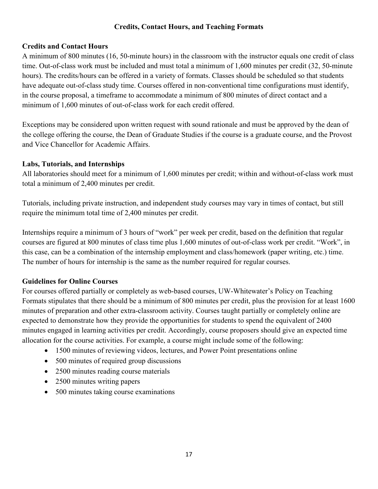#### **Credits, Contact Hours, and Teaching Formats**

#### **Credits and Contact Hours**

A minimum of 800 minutes (16, 50-minute hours) in the classroom with the instructor equals one credit of class time. Out-of-class work must be included and must total a minimum of 1,600 minutes per credit (32, 50-minute hours). The credits/hours can be offered in a variety of formats. Classes should be scheduled so that students have adequate out-of-class study time. Courses offered in non-conventional time configurations must identify, in the course proposal, a timeframe to accommodate a minimum of 800 minutes of direct contact and a minimum of 1,600 minutes of out-of-class work for each credit offered.

Exceptions may be considered upon written request with sound rationale and must be approved by the dean of the college offering the course, the Dean of Graduate Studies if the course is a graduate course, and the Provost and Vice Chancellor for Academic Affairs.

#### **Labs, Tutorials, and Internships**

All laboratories should meet for a minimum of 1,600 minutes per credit; within and without-of-class work must total a minimum of 2,400 minutes per credit.

Tutorials, including private instruction, and independent study courses may vary in times of contact, but still require the minimum total time of 2,400 minutes per credit.

Internships require a minimum of 3 hours of "work" per week per credit, based on the definition that regular courses are figured at 800 minutes of class time plus 1,600 minutes of out-of-class work per credit. "Work", in this case, can be a combination of the internship employment and class/homework (paper writing, etc.) time. The number of hours for internship is the same as the number required for regular courses.

#### **Guidelines for Online Courses**

For courses offered partially or completely as web-based courses, UW-Whitewater's Policy on Teaching Formats stipulates that there should be a minimum of 800 minutes per credit, plus the provision for at least 1600 minutes of preparation and other extra-classroom activity. Courses taught partially or completely online are expected to demonstrate how they provide the opportunities for students to spend the equivalent of 2400 minutes engaged in learning activities per credit. Accordingly, course proposers should give an expected time allocation for the course activities. For example, a course might include some of the following:

- 1500 minutes of reviewing videos, lectures, and Power Point presentations online
- 500 minutes of required group discussions
- 2500 minutes reading course materials
- 2500 minutes writing papers
- 500 minutes taking course examinations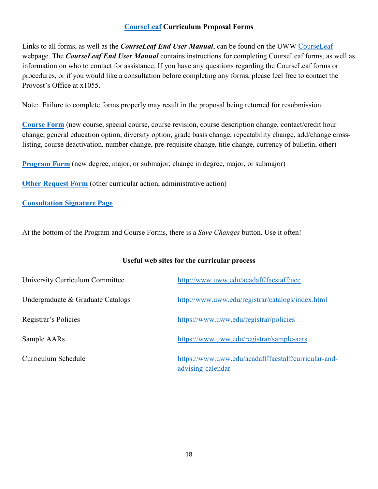#### **[CourseLeaf](http://www.uww.edu/acadaff/facstaff/courseleaf) Curriculum Proposal Forms**

Links to all forms, as well as the *CourseLeaf End User Manual*, can be found on the UWW [CourseLeaf](https://www.uww.edu/acadaff/facstaff/courseleaf) webpage. The *CourseLeaf End User Manual* contains instructions for completing CourseLeaf forms, as well as information on who to contact for assistance. If you have any questions regarding the CourseLeaf forms or procedures, or if you would like a consultation before completing any forms, please feel free to contact the Provost's Office at x1055.

Note: Failure to complete forms properly may result in the proposal being returned for resubmission.

**[Course Form](https://uww-next.courseleaf.com/courseadmin/)** (new course, special course, course revision, course description change, contact/credit hour change, general education option, diversity option, grade basis change, repeatability change, add/change crosslisting, course deactivation, number change, pre-requisite change, title change, currency of bulletin, other)

**[Program Form](https://uww-next.courseleaf.com/programadmin/)** (new degree, major, or submajor; change in degree, major, or submajor)

**[Other Request Form](https://uww-next.courseleaf.com/miscadmin/)** (other curricular action, administrative action)

#### **[Consultation Signature Page](http://www.uww.edu/acadaff/facstaff/courseleaf)**

At the bottom of the Program and Course Forms, there is a *Save Changes* button. Use it often!

#### **Useful web sites for the curricular process**

| University Curriculum Committee   | http://www.uww.edu/acadaff/facstaff/ucc                                   |
|-----------------------------------|---------------------------------------------------------------------------|
| Undergraduate & Graduate Catalogs | http://www.uww.edu/registrar/catalogs/index.html                          |
| Registrar's Policies              | https://www.uww.edu/registrar/policies                                    |
| Sample AARs                       | https://www.uww.edu/registrar/sample-aars                                 |
| Curriculum Schedule               | https://www.uww.edu/acadaff/facstaff/curricular-and-<br>advising-calendar |